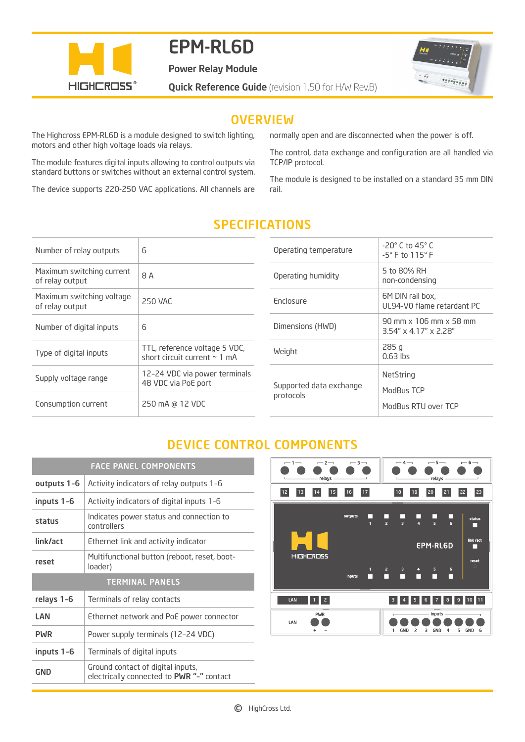

# EPM-RL6D

Power Relay Module

**Quick Reference Guide** (revision 1.50 for H/W Rev.B)



## **OVERVIEW**

The Highcross EPM-RL6D is a module designed to switch lighting, motors and other high voltage loads via relays.

The module features digital inputs allowing to control outputs via standard buttons or switches without an external control system.

The device supports 220-250 VAC applications. All channels are

normally open and are disconnected when the power is off.

The control, data exchange and configuration are all handled via TCP/IP protocol.

The module is designed to be installed on a standard 35 mm DIN rail.

| Number of relay outputs                      | 6                                                                  |
|----------------------------------------------|--------------------------------------------------------------------|
| Maximum switching current<br>of relay output | 8 A                                                                |
| Maximum switching voltage<br>of relay output | 250 VAC                                                            |
| Number of digital inputs                     | 6                                                                  |
| Type of digital inputs                       | TTL, reference voltage 5 VDC,<br>short circuit current $\sim 1$ mA |
| Supply voltage range                         | 12-24 VDC via power terminals<br>48 VDC via PoE port               |
| Consumption current                          | 250 mA @ 12 VDC                                                    |

## SPECIFICATIONS

| $-20^\circ$ C to 45 $^\circ$ C<br>$-5^\circ$ F to 115 $^\circ$ F |
|------------------------------------------------------------------|
| 5 to 80% RH<br>non-condensing                                    |
| 6M DIN rail box,<br>UL94-V0 flame retardant PC                   |
| 90 mm x 106 mm x 58 mm<br>$3.54'' \times 4.17'' \times 2.28''$   |
| 285q<br>$0.63$ lbs                                               |
| NetString<br>ModBus TCP<br>ModBus RTU over TCP                   |
|                                                                  |

## DEVICE CONTROL COMPONENTS

| <b>FACE PANEL COMPONENTS</b> |                                                         |
|------------------------------|---------------------------------------------------------|
| outputs 1-6                  | Activity indicators of relay outputs 1-6                |
| inputs 1-6                   | Activity indicators of digital inputs 1-6               |
| status                       | Indicates power status and connection to<br>controllers |
| link/act                     | Ethernet link and activity indicator                    |
| reset                        | Multifunctional button (reboot, reset, boot-<br>loader) |
| <b>TERMINAL PANELS</b>       |                                                         |
|                              |                                                         |
| relays 1-6                   | Terminals of relay contacts                             |
| LAN                          | Ethernet network and PoE power connector                |
| <b>PWR</b>                   | Power supply terminals (12-24 VDC)                      |
| inputs 1-6                   | Terminals of digital inputs                             |